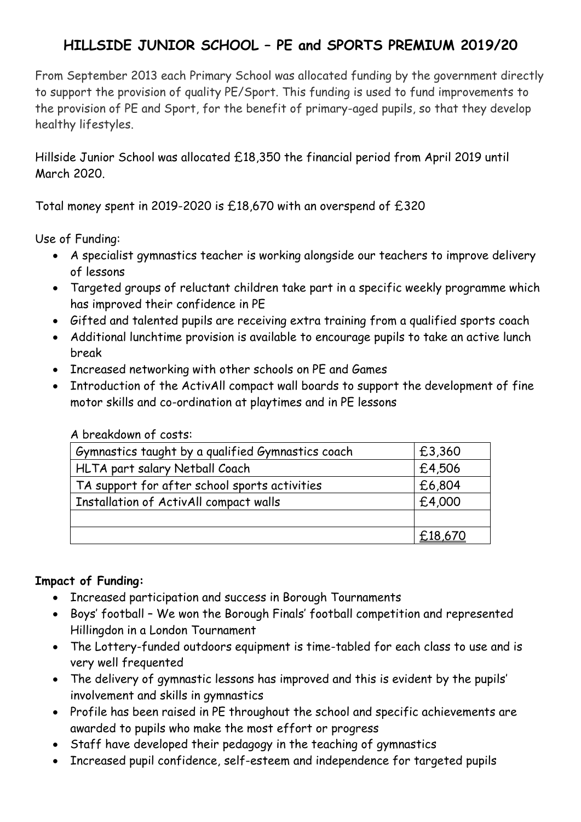## **HILLSIDE JUNIOR SCHOOL – PE and SPORTS PREMIUM 2019/20**

From September 2013 each Primary School was allocated funding by the government directly to support the provision of quality PE/Sport. This funding is used to fund improvements to the provision of PE and Sport, for the benefit of primary-aged pupils, so that they develop healthy lifestyles.

Hillside Junior School was allocated £18,350 the financial period from April 2019 until March 2020.

Total money spent in 2019-2020 is £18,670 with an overspend of £320

Use of Funding:

- A specialist gymnastics teacher is working alongside our teachers to improve delivery of lessons
- Targeted groups of reluctant children take part in a specific weekly programme which has improved their confidence in PE
- Gifted and talented pupils are receiving extra training from a qualified sports coach
- Additional lunchtime provision is available to encourage pupils to take an active lunch break
- Increased networking with other schools on PE and Games
- Introduction of the ActivAll compact wall boards to support the development of fine motor skills and co-ordination at playtimes and in PE lessons

|  | A breakdown of costs: |  |  |
|--|-----------------------|--|--|
|--|-----------------------|--|--|

| Gymnastics taught by a qualified Gymnastics coach | £3,360  |
|---------------------------------------------------|---------|
| HLTA part salary Netball Coach                    | £4,506  |
| TA support for after school sports activities     | £6,804  |
| <b>Installation of ActivAll compact walls</b>     | £4,000  |
|                                                   |         |
|                                                   | £18,670 |

## **Impact of Funding:**

- Increased participation and success in Borough Tournaments
- Boys' football We won the Borough Finals' football competition and represented Hillingdon in a London Tournament
- The Lottery-funded outdoors equipment is time-tabled for each class to use and is very well frequented
- The delivery of gymnastic lessons has improved and this is evident by the pupils' involvement and skills in gymnastics
- Profile has been raised in PE throughout the school and specific achievements are awarded to pupils who make the most effort or progress
- Staff have developed their pedagogy in the teaching of gymnastics
- Increased pupil confidence, self-esteem and independence for targeted pupils